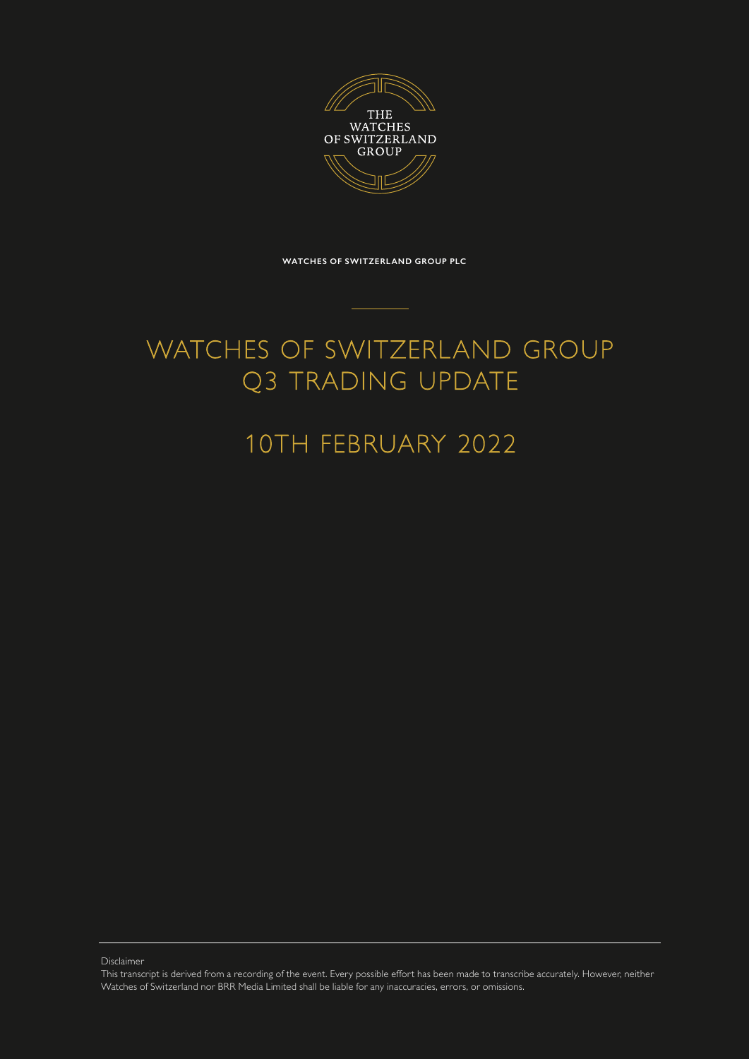

**WATCHES OF SWITZERLAND GROUP PLC**

## WATCHES OF SWITZERLAND GROUP Q3 TRADING UPDATE

## 10TH FEBRUARY 2022

Disclaimer

This transcript is derived from a recording of the event. Every possible effort has been made to transcribe accurately. However, neither Watches of Switzerland nor BRR Media Limited shall be liable for any inaccuracies, errors, or omissions.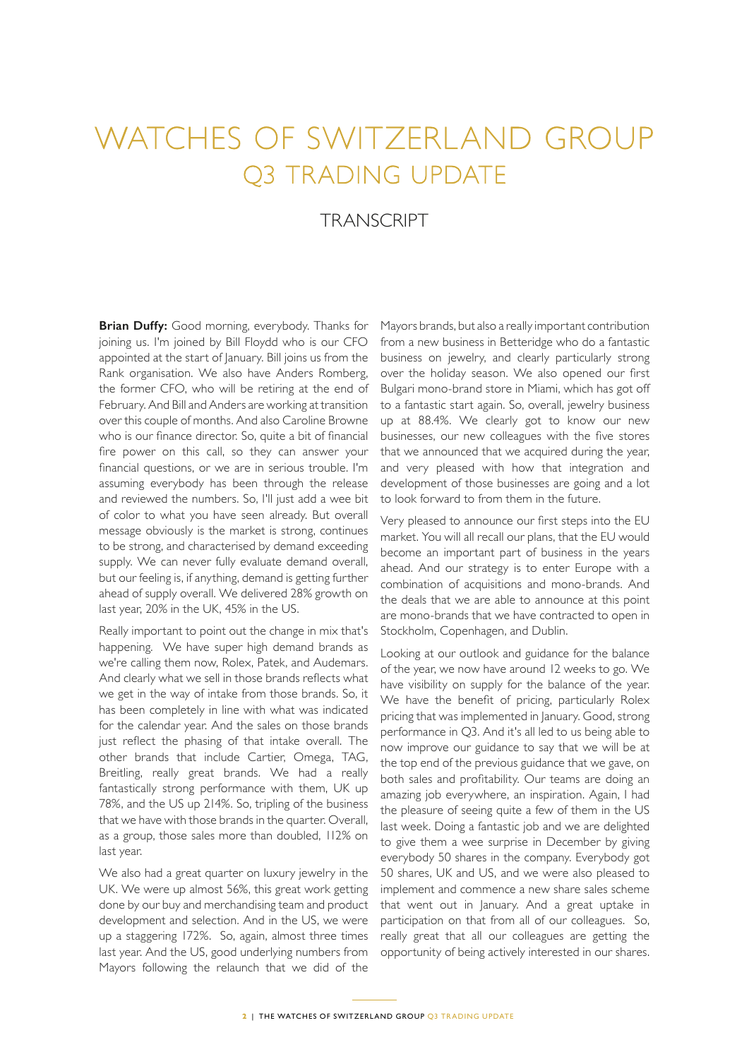## WATCHES OF SWITZERLAND GROUP Q3 TRADING UPDATE

## **TRANSCRIPT**

**Brian Duffy:** Good morning, everybody. Thanks for joining us. I'm joined by Bill Floydd who is our CFO appointed at the start of January. Bill joins us from the Rank organisation. We also have Anders Romberg, the former CFO, who will be retiring at the end of February. And Bill and Anders are working at transition over this couple of months. And also Caroline Browne who is our finance director. So, quite a bit of financial fire power on this call, so they can answer your financial questions, or we are in serious trouble. I'm assuming everybody has been through the release and reviewed the numbers. So, I'll just add a wee bit of color to what you have seen already. But overall message obviously is the market is strong, continues to be strong, and characterised by demand exceeding supply. We can never fully evaluate demand overall, but our feeling is, if anything, demand is getting further ahead of supply overall. We delivered 28% growth on last year, 20% in the UK, 45% in the US.

Really important to point out the change in mix that's happening. We have super high demand brands as we're calling them now, Rolex, Patek, and Audemars. And clearly what we sell in those brands reflects what we get in the way of intake from those brands. So, it has been completely in line with what was indicated for the calendar year. And the sales on those brands just reflect the phasing of that intake overall. The other brands that include Cartier, Omega, TAG, Breitling, really great brands. We had a really fantastically strong performance with them, UK up 78%, and the US up 214%. So, tripling of the business that we have with those brands in the quarter. Overall, as a group, those sales more than doubled, 112% on last year.

We also had a great quarter on luxury jewelry in the UK. We were up almost 56%, this great work getting done by our buy and merchandising team and product development and selection. And in the US, we were up a staggering 172%. So, again, almost three times last year. And the US, good underlying numbers from Mayors following the relaunch that we did of the

Mayors brands, but also a really important contribution from a new business in Betteridge who do a fantastic business on jewelry, and clearly particularly strong over the holiday season. We also opened our first Bulgari mono-brand store in Miami, which has got off to a fantastic start again. So, overall, jewelry business up at 88.4%. We clearly got to know our new businesses, our new colleagues with the five stores that we announced that we acquired during the year, and very pleased with how that integration and development of those businesses are going and a lot to look forward to from them in the future.

Very pleased to announce our first steps into the EU market. You will all recall our plans, that the EU would become an important part of business in the years ahead. And our strategy is to enter Europe with a combination of acquisitions and mono-brands. And the deals that we are able to announce at this point are mono-brands that we have contracted to open in Stockholm, Copenhagen, and Dublin.

Looking at our outlook and guidance for the balance of the year, we now have around 12 weeks to go. We have visibility on supply for the balance of the year. We have the benefit of pricing, particularly Rolex pricing that was implemented in January. Good, strong performance in Q3. And it's all led to us being able to now improve our guidance to say that we will be at the top end of the previous guidance that we gave, on both sales and profitability. Our teams are doing an amazing job everywhere, an inspiration. Again, I had the pleasure of seeing quite a few of them in the US last week. Doing a fantastic job and we are delighted to give them a wee surprise in December by giving everybody 50 shares in the company. Everybody got 50 shares, UK and US, and we were also pleased to implement and commence a new share sales scheme that went out in January. And a great uptake in participation on that from all of our colleagues. So, really great that all our colleagues are getting the opportunity of being actively interested in our shares.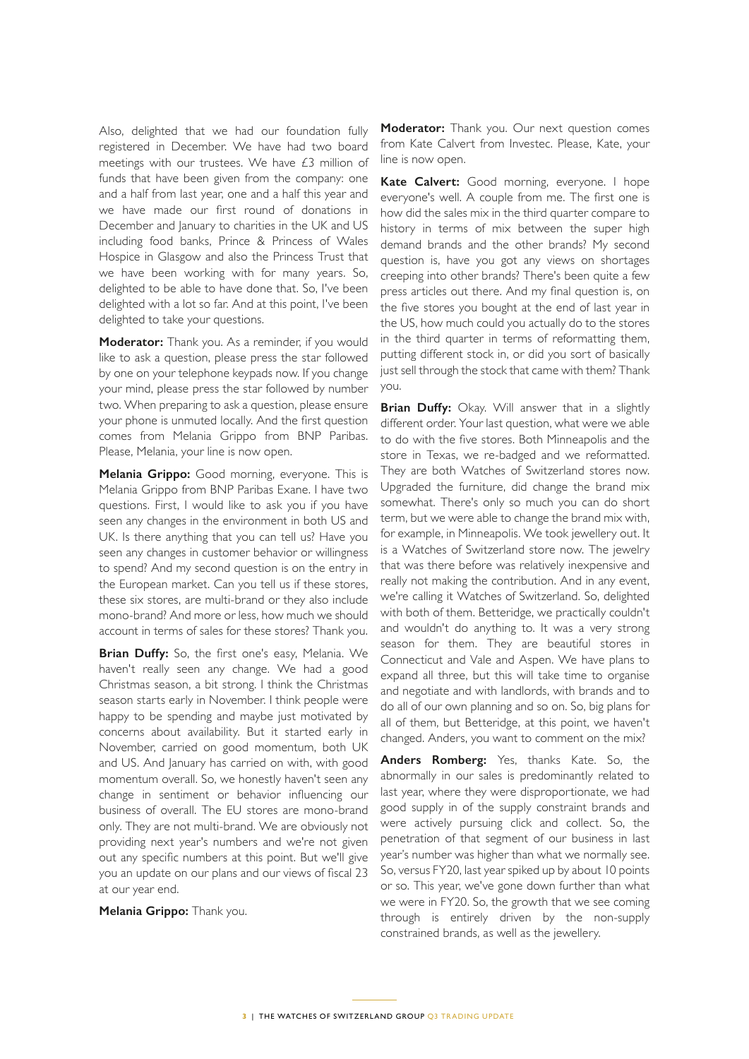Also, delighted that we had our foundation fully registered in December. We have had two board meetings with our trustees. We have £3 million of funds that have been given from the company: one and a half from last year, one and a half this year and we have made our first round of donations in December and January to charities in the UK and US including food banks, Prince & Princess of Wales Hospice in Glasgow and also the Princess Trust that we have been working with for many years. So, delighted to be able to have done that. So, I've been delighted with a lot so far. And at this point, I've been delighted to take your questions.

**Moderator:** Thank you. As a reminder, if you would like to ask a question, please press the star followed by one on your telephone keypads now. If you change your mind, please press the star followed by number two. When preparing to ask a question, please ensure your phone is unmuted locally. And the first question comes from Melania Grippo from BNP Paribas. Please, Melania, your line is now open.

**Melania Grippo:** Good morning, everyone. This is Melania Grippo from BNP Paribas Exane. I have two questions. First, I would like to ask you if you have seen any changes in the environment in both US and UK. Is there anything that you can tell us? Have you seen any changes in customer behavior or willingness to spend? And my second question is on the entry in the European market. Can you tell us if these stores, these six stores, are multi-brand or they also include mono-brand? And more or less, how much we should account in terms of sales for these stores? Thank you.

**Brian Duffy:** So, the first one's easy, Melania. We haven't really seen any change. We had a good Christmas season, a bit strong. I think the Christmas season starts early in November. I think people were happy to be spending and maybe just motivated by concerns about availability. But it started early in November, carried on good momentum, both UK and US. And January has carried on with, with good momentum overall. So, we honestly haven't seen any change in sentiment or behavior influencing our business of overall. The EU stores are mono-brand only. They are not multi-brand. We are obviously not providing next year's numbers and we're not given out any specific numbers at this point. But we'll give you an update on our plans and our views of fiscal 23 at our year end.

**Melania Grippo:** Thank you.

**Moderator:** Thank you. Our next question comes from Kate Calvert from Investec. Please, Kate, your line is now open.

**Kate Calvert:** Good morning, everyone. I hope everyone's well. A couple from me. The first one is how did the sales mix in the third quarter compare to history in terms of mix between the super high demand brands and the other brands? My second question is, have you got any views on shortages creeping into other brands? There's been quite a few press articles out there. And my final question is, on the five stores you bought at the end of last year in the US, how much could you actually do to the stores in the third quarter in terms of reformatting them, putting different stock in, or did you sort of basically just sell through the stock that came with them? Thank you.

**Brian Duffy:** Okay. Will answer that in a slightly different order. Your last question, what were we able to do with the five stores. Both Minneapolis and the store in Texas, we re-badged and we reformatted. They are both Watches of Switzerland stores now. Upgraded the furniture, did change the brand mix somewhat. There's only so much you can do short term, but we were able to change the brand mix with, for example, in Minneapolis. We took jewellery out. It is a Watches of Switzerland store now. The jewelry that was there before was relatively inexpensive and really not making the contribution. And in any event, we're calling it Watches of Switzerland. So, delighted with both of them. Betteridge, we practically couldn't and wouldn't do anything to. It was a very strong season for them. They are beautiful stores in Connecticut and Vale and Aspen. We have plans to expand all three, but this will take time to organise and negotiate and with landlords, with brands and to do all of our own planning and so on. So, big plans for all of them, but Betteridge, at this point, we haven't changed. Anders, you want to comment on the mix?

**Anders Romberg:** Yes, thanks Kate. So, the abnormally in our sales is predominantly related to last year, where they were disproportionate, we had good supply in of the supply constraint brands and were actively pursuing click and collect. So, the penetration of that segment of our business in last year's number was higher than what we normally see. So, versus FY20, last year spiked up by about 10 points or so. This year, we've gone down further than what we were in FY20. So, the growth that we see coming through is entirely driven by the non-supply constrained brands, as well as the jewellery.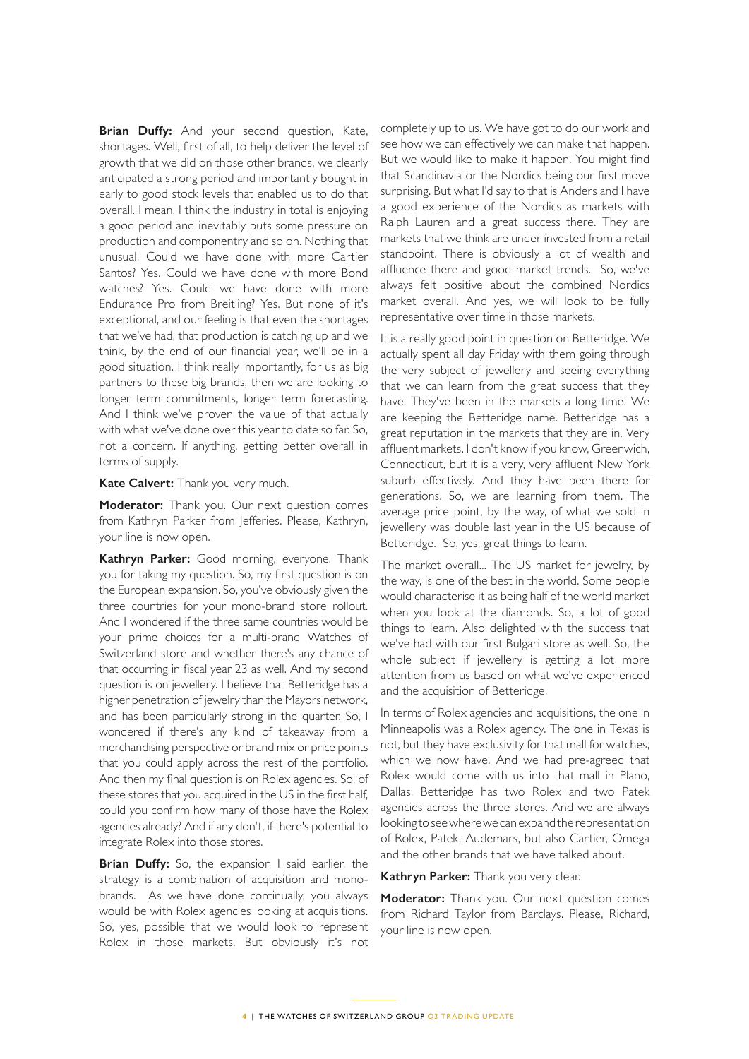**Brian Duffy:** And your second question, Kate, shortages. Well, first of all, to help deliver the level of growth that we did on those other brands, we clearly anticipated a strong period and importantly bought in early to good stock levels that enabled us to do that overall. I mean, I think the industry in total is enjoying a good period and inevitably puts some pressure on production and componentry and so on. Nothing that unusual. Could we have done with more Cartier Santos? Yes. Could we have done with more Bond watches? Yes. Could we have done with more Endurance Pro from Breitling? Yes. But none of it's exceptional, and our feeling is that even the shortages that we've had, that production is catching up and we think, by the end of our financial year, we'll be in a good situation. I think really importantly, for us as big partners to these big brands, then we are looking to longer term commitments, longer term forecasting. And I think we've proven the value of that actually with what we've done over this year to date so far. So, not a concern. If anything, getting better overall in terms of supply.

**Kate Calvert:** Thank you very much.

**Moderator:** Thank you. Our next question comes from Kathryn Parker from Jefferies. Please, Kathryn, your line is now open.

**Kathryn Parker:** Good morning, everyone. Thank you for taking my question. So, my first question is on the European expansion. So, you've obviously given the three countries for your mono-brand store rollout. And I wondered if the three same countries would be your prime choices for a multi-brand Watches of Switzerland store and whether there's any chance of that occurring in fiscal year 23 as well. And my second question is on jewellery. I believe that Betteridge has a higher penetration of jewelry than the Mayors network, and has been particularly strong in the quarter. So, I wondered if there's any kind of takeaway from a merchandising perspective or brand mix or price points that you could apply across the rest of the portfolio. And then my final question is on Rolex agencies. So, of these stores that you acquired in the US in the first half, could you confirm how many of those have the Rolex agencies already? And if any don't, if there's potential to integrate Rolex into those stores.

**Brian Duffy:** So, the expansion I said earlier, the strategy is a combination of acquisition and monobrands. As we have done continually, you always would be with Rolex agencies looking at acquisitions. So, yes, possible that we would look to represent Rolex in those markets. But obviously it's not

completely up to us. We have got to do our work and see how we can effectively we can make that happen. But we would like to make it happen. You might find that Scandinavia or the Nordics being our first move surprising. But what I'd say to that is Anders and I have a good experience of the Nordics as markets with Ralph Lauren and a great success there. They are markets that we think are under invested from a retail standpoint. There is obviously a lot of wealth and affluence there and good market trends. So, we've always felt positive about the combined Nordics market overall. And yes, we will look to be fully representative over time in those markets.

It is a really good point in question on Betteridge. We actually spent all day Friday with them going through the very subject of jewellery and seeing everything that we can learn from the great success that they have. They've been in the markets a long time. We are keeping the Betteridge name. Betteridge has a great reputation in the markets that they are in. Very affluent markets. I don't know if you know, Greenwich, Connecticut, but it is a very, very affluent New York suburb effectively. And they have been there for generations. So, we are learning from them. The average price point, by the way, of what we sold in jewellery was double last year in the US because of Betteridge. So, yes, great things to learn.

The market overall... The US market for jewelry, by the way, is one of the best in the world. Some people would characterise it as being half of the world market when you look at the diamonds. So, a lot of good things to learn. Also delighted with the success that we've had with our first Bulgari store as well. So, the whole subject if jewellery is getting a lot more attention from us based on what we've experienced and the acquisition of Betteridge.

In terms of Rolex agencies and acquisitions, the one in Minneapolis was a Rolex agency. The one in Texas is not, but they have exclusivity for that mall for watches, which we now have. And we had pre-agreed that Rolex would come with us into that mall in Plano, Dallas. Betteridge has two Rolex and two Patek agencies across the three stores. And we are always looking to see where we can expand the representation of Rolex, Patek, Audemars, but also Cartier, Omega and the other brands that we have talked about.

**Kathryn Parker:** Thank you very clear.

**Moderator:** Thank you. Our next question comes from Richard Taylor from Barclays. Please, Richard, your line is now open.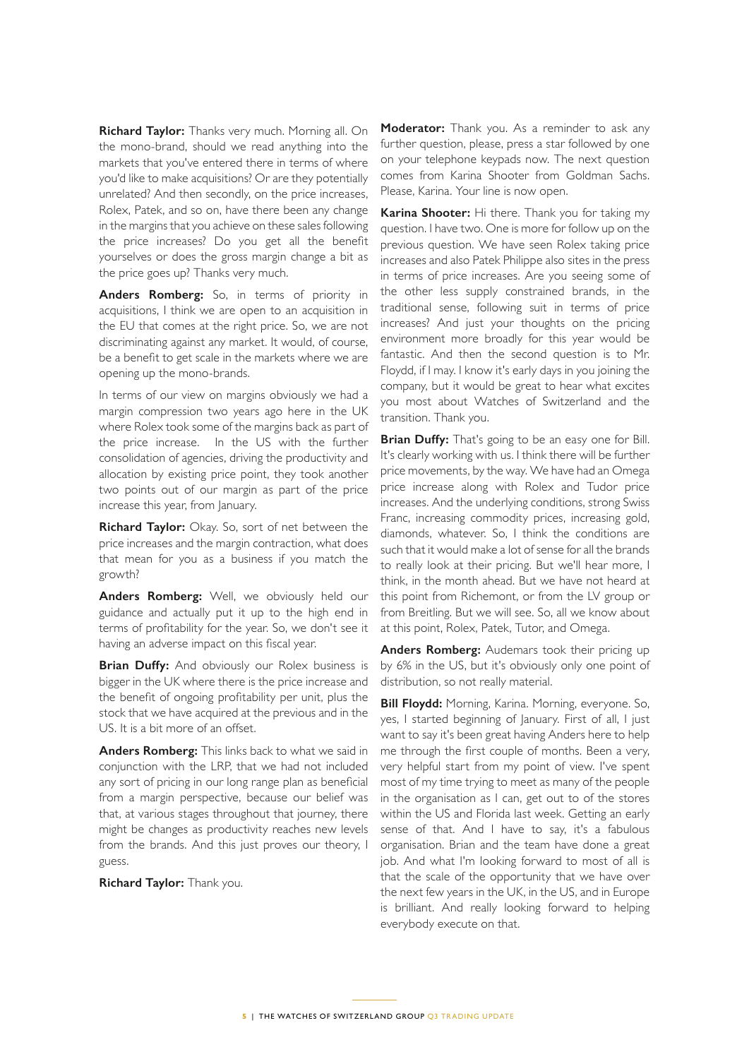**Richard Taylor:** Thanks very much. Morning all. On the mono-brand, should we read anything into the markets that you've entered there in terms of where you'd like to make acquisitions? Or are they potentially unrelated? And then secondly, on the price increases, Rolex, Patek, and so on, have there been any change in the margins that you achieve on these sales following the price increases? Do you get all the benefit yourselves or does the gross margin change a bit as the price goes up? Thanks very much.

**Anders Romberg:** So, in terms of priority in acquisitions, I think we are open to an acquisition in the EU that comes at the right price. So, we are not discriminating against any market. It would, of course, be a benefit to get scale in the markets where we are opening up the mono-brands.

In terms of our view on margins obviously we had a margin compression two years ago here in the UK where Rolex took some of the margins back as part of the price increase. In the US with the further consolidation of agencies, driving the productivity and allocation by existing price point, they took another two points out of our margin as part of the price increase this year, from January.

**Richard Taylor:** Okay. So, sort of net between the price increases and the margin contraction, what does that mean for you as a business if you match the growth?

**Anders Romberg:** Well, we obviously held our guidance and actually put it up to the high end in terms of profitability for the year. So, we don't see it having an adverse impact on this fiscal year.

**Brian Duffy:** And obviously our Rolex business is bigger in the UK where there is the price increase and the benefit of ongoing profitability per unit, plus the stock that we have acquired at the previous and in the US. It is a bit more of an offset.

**Anders Romberg:** This links back to what we said in conjunction with the LRP, that we had not included any sort of pricing in our long range plan as beneficial from a margin perspective, because our belief was that, at various stages throughout that journey, there might be changes as productivity reaches new levels from the brands. And this just proves our theory, I guess.

**Richard Taylor:** Thank you.

**Moderator:** Thank you. As a reminder to ask any further question, please, press a star followed by one on your telephone keypads now. The next question comes from Karina Shooter from Goldman Sachs. Please, Karina. Your line is now open.

**Karina Shooter:** Hi there. Thank you for taking my question. I have two. One is more for follow up on the previous question. We have seen Rolex taking price increases and also Patek Philippe also sites in the press in terms of price increases. Are you seeing some of the other less supply constrained brands, in the traditional sense, following suit in terms of price increases? And just your thoughts on the pricing environment more broadly for this year would be fantastic. And then the second question is to Mr. Floydd, if I may. I know it's early days in you joining the company, but it would be great to hear what excites you most about Watches of Switzerland and the transition. Thank you.

**Brian Duffy:** That's going to be an easy one for Bill. It's clearly working with us. I think there will be further price movements, by the way. We have had an Omega price increase along with Rolex and Tudor price increases. And the underlying conditions, strong Swiss Franc, increasing commodity prices, increasing gold, diamonds, whatever. So, I think the conditions are such that it would make a lot of sense for all the brands to really look at their pricing. But we'll hear more, I think, in the month ahead. But we have not heard at this point from Richemont, or from the LV group or from Breitling. But we will see. So, all we know about at this point, Rolex, Patek, Tutor, and Omega.

**Anders Romberg:** Audemars took their pricing up by 6% in the US, but it's obviously only one point of distribution, so not really material.

**Bill Floydd:** Morning, Karina. Morning, everyone. So, yes, I started beginning of January. First of all, I just want to say it's been great having Anders here to help me through the first couple of months. Been a very, very helpful start from my point of view. I've spent most of my time trying to meet as many of the people in the organisation as I can, get out to of the stores within the US and Florida last week. Getting an early sense of that. And I have to say, it's a fabulous organisation. Brian and the team have done a great job. And what I'm looking forward to most of all is that the scale of the opportunity that we have over the next few years in the UK, in the US, and in Europe is brilliant. And really looking forward to helping everybody execute on that.